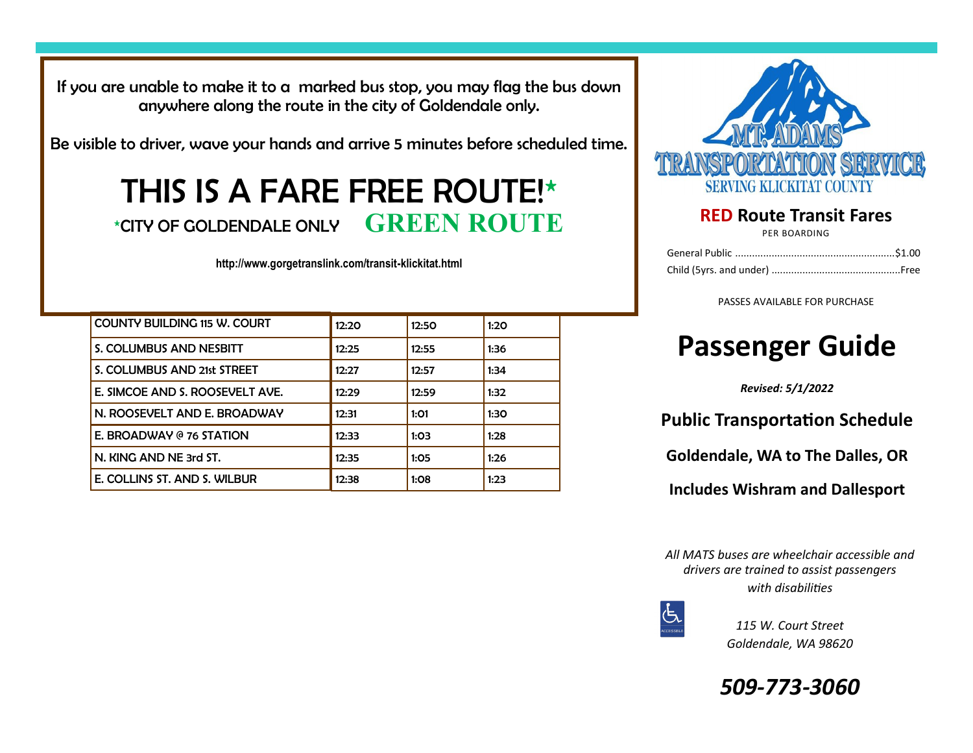If you are unable to make it to a marked bus stop, you may flag the bus down anywhere along the route in the city of Goldendale only.

Be visible to driver, wave your hands and arrive 5 minutes before scheduled time.

# THIS IS A FARE FREE ROUTE!\* \*CITY OF GOLDENDALE ONLY **GREEN ROUTE**

**http://www.gorgetranslink.com/transit-klickitat.html**

| <b>COUNTY BUILDING 115 W. COURT</b> | 12:20 | 12:50 | 1:20 |
|-------------------------------------|-------|-------|------|
| S. COLUMBUS AND NESBITT             | 12:25 | 12:55 | 1:36 |
| S. COLUMBUS AND 21st STREET         | 12:27 | 12:57 | 1:34 |
| E. SIMCOE AND S. ROOSEVELT AVE.     | 12:29 | 12:59 | 1:32 |
| N. ROOSEVELT AND E. BROADWAY        | 12:31 | 1:01  | 1:30 |
| E. BROADWAY @ 76 STATION            | 12:33 | 1:03  | 1:28 |
| N. KING AND NE 3rd ST.              | 12:35 | 1:05  | 1:26 |
| E. COLLINS ST. AND S. WILBUR        | 12:38 | 1:08  | 1:23 |



### **RED Route Transit Fares**

PER BOARDING

PASSES AVAILABLE FOR PURCHASE

# **Passenger Guide**

*Revised: 5/1/2022*

**Public Transportation Schedule**

**Goldendale, WA to The Dalles, OR** 

**Includes Wishram and Dallesport**

*All MATS buses are wheelchair accessible and drivers are trained to assist passengers with disabilities*



*115 W. Court Street Goldendale, WA 98620*